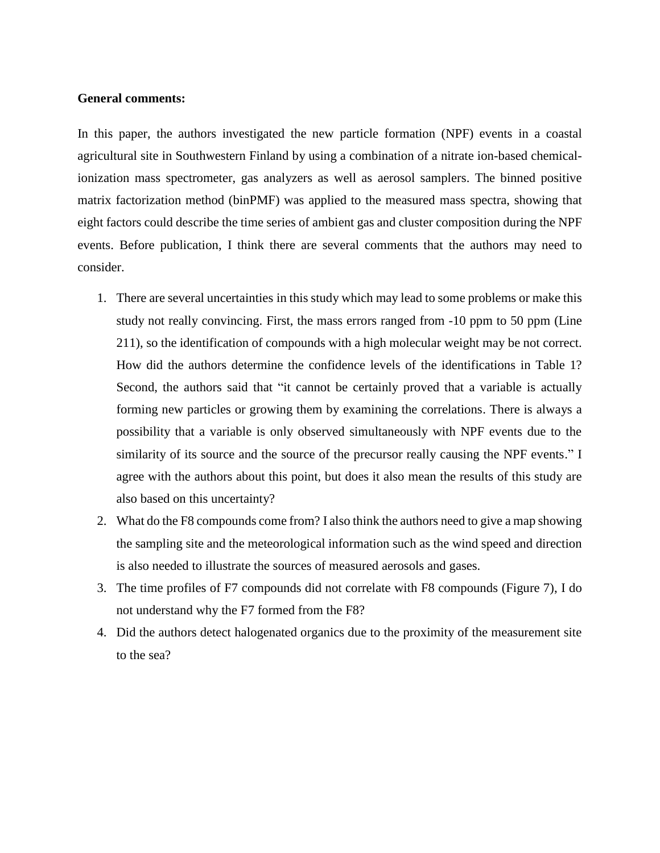## **General comments:**

In this paper, the authors investigated the new particle formation (NPF) events in a coastal agricultural site in Southwestern Finland by using a combination of a nitrate ion-based chemicalionization mass spectrometer, gas analyzers as well as aerosol samplers. The binned positive matrix factorization method (binPMF) was applied to the measured mass spectra, showing that eight factors could describe the time series of ambient gas and cluster composition during the NPF events. Before publication, I think there are several comments that the authors may need to consider.

- 1. There are several uncertainties in this study which may lead to some problems or make this study not really convincing. First, the mass errors ranged from -10 ppm to 50 ppm (Line 211), so the identification of compounds with a high molecular weight may be not correct. How did the authors determine the confidence levels of the identifications in Table 1? Second, the authors said that "it cannot be certainly proved that a variable is actually forming new particles or growing them by examining the correlations. There is always a possibility that a variable is only observed simultaneously with NPF events due to the similarity of its source and the source of the precursor really causing the NPF events." I agree with the authors about this point, but does it also mean the results of this study are also based on this uncertainty?
- 2. What do the F8 compounds come from? I also think the authors need to give a map showing the sampling site and the meteorological information such as the wind speed and direction is also needed to illustrate the sources of measured aerosols and gases.
- 3. The time profiles of F7 compounds did not correlate with F8 compounds (Figure 7), I do not understand why the F7 formed from the F8?
- 4. Did the authors detect halogenated organics due to the proximity of the measurement site to the sea?